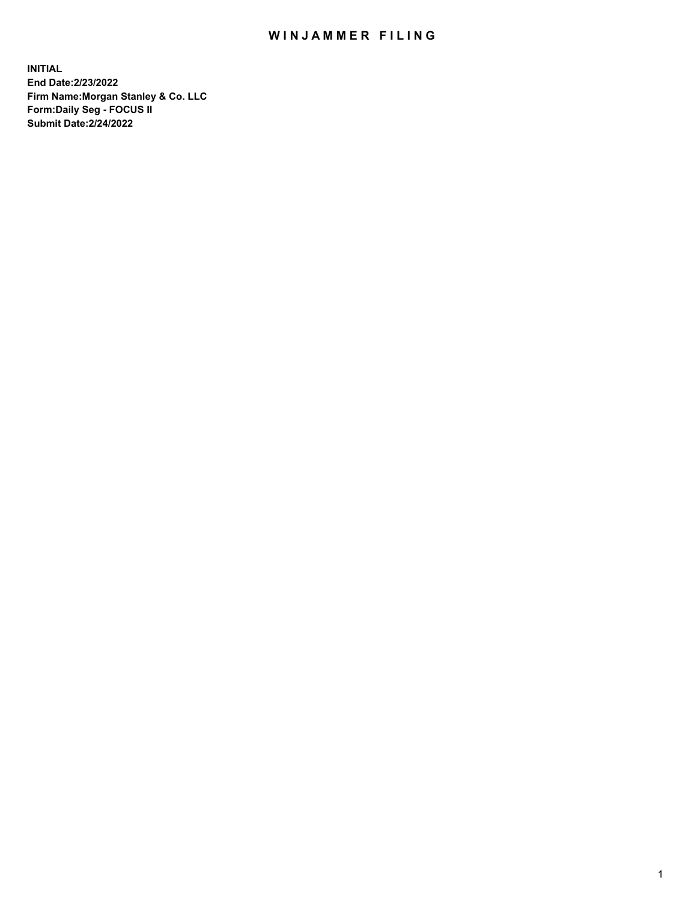## WIN JAMMER FILING

**INITIAL End Date:2/23/2022 Firm Name:Morgan Stanley & Co. LLC Form:Daily Seg - FOCUS II Submit Date:2/24/2022**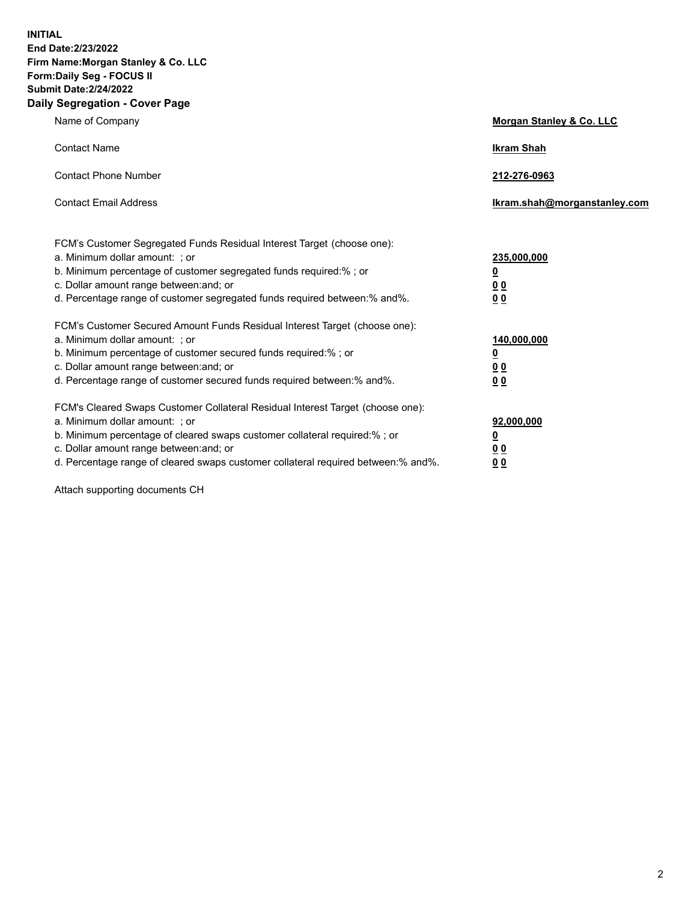**INITIAL End Date:2/23/2022 Firm Name:Morgan Stanley & Co. LLC Form:Daily Seg - FOCUS II Submit Date:2/24/2022 Daily Segregation - Cover Page**

| Name of Company                                                                                                                                                                                                                                                                                                                | Morgan Stanley & Co. LLC                               |
|--------------------------------------------------------------------------------------------------------------------------------------------------------------------------------------------------------------------------------------------------------------------------------------------------------------------------------|--------------------------------------------------------|
| <b>Contact Name</b>                                                                                                                                                                                                                                                                                                            | <b>Ikram Shah</b>                                      |
| <b>Contact Phone Number</b>                                                                                                                                                                                                                                                                                                    | 212-276-0963                                           |
| <b>Contact Email Address</b>                                                                                                                                                                                                                                                                                                   | Ikram.shah@morganstanley.com                           |
| FCM's Customer Segregated Funds Residual Interest Target (choose one):<br>a. Minimum dollar amount: ; or<br>b. Minimum percentage of customer segregated funds required:% ; or<br>c. Dollar amount range between: and; or<br>d. Percentage range of customer segregated funds required between:% and%.                         | 235,000,000<br><u>0</u><br>0 <sup>0</sup><br><u>00</u> |
| FCM's Customer Secured Amount Funds Residual Interest Target (choose one):<br>a. Minimum dollar amount: ; or<br>b. Minimum percentage of customer secured funds required:% ; or<br>c. Dollar amount range between: and; or<br>d. Percentage range of customer secured funds required between:% and%.                           | 140,000,000<br><u>0</u><br><u>00</u><br>00             |
| FCM's Cleared Swaps Customer Collateral Residual Interest Target (choose one):<br>a. Minimum dollar amount: ; or<br>b. Minimum percentage of cleared swaps customer collateral required:% ; or<br>c. Dollar amount range between: and; or<br>d. Percentage range of cleared swaps customer collateral required between:% and%. | 92,000,000<br><u>0</u><br><u>00</u><br>00              |

Attach supporting documents CH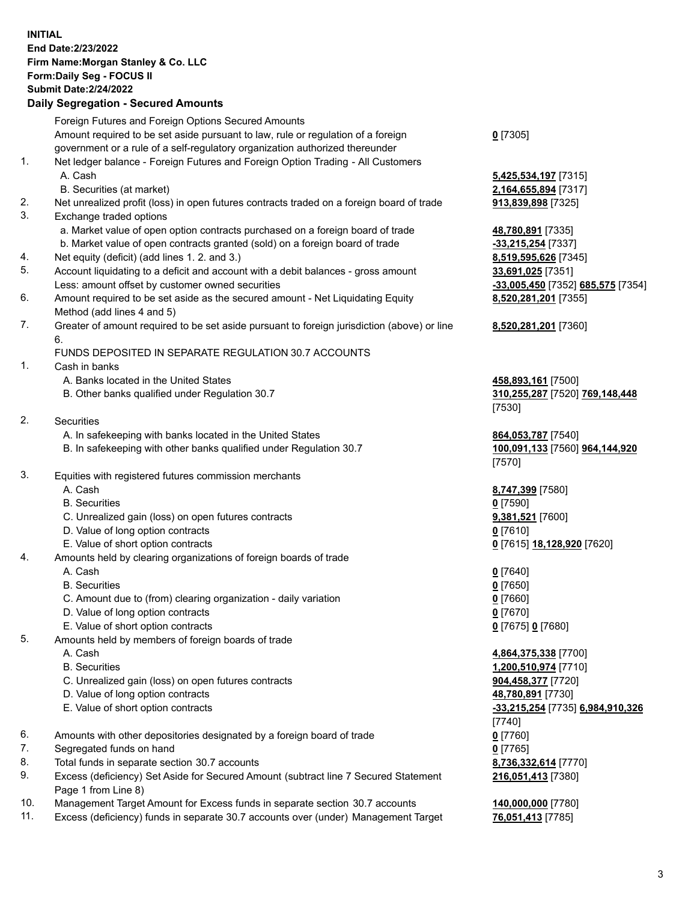## **INITIAL End Date:2/23/2022 Firm Name:Morgan Stanley & Co. LLC Form:Daily Seg - FOCUS II Submit Date:2/24/2022**

## **Daily Segregation - Secured Amounts**

|          | Foreign Futures and Foreign Options Secured Amounts                                                        |                                              |
|----------|------------------------------------------------------------------------------------------------------------|----------------------------------------------|
|          | Amount required to be set aside pursuant to law, rule or regulation of a foreign                           | $0$ [7305]                                   |
|          | government or a rule of a self-regulatory organization authorized thereunder                               |                                              |
| 1.       | Net ledger balance - Foreign Futures and Foreign Option Trading - All Customers                            |                                              |
|          | A. Cash                                                                                                    | 5,425,534,197 [7315]                         |
|          | B. Securities (at market)                                                                                  | 2,164,655,894 [7317]                         |
| 2.       | Net unrealized profit (loss) in open futures contracts traded on a foreign board of trade                  | 913,839,898 [7325]                           |
| 3.       | Exchange traded options                                                                                    |                                              |
|          | a. Market value of open option contracts purchased on a foreign board of trade                             | 48,780,891 [7335]                            |
|          | b. Market value of open contracts granted (sold) on a foreign board of trade                               | -33,215,254 [7337]                           |
| 4.       | Net equity (deficit) (add lines 1. 2. and 3.)                                                              | 8,519,595,626 [7345]                         |
| 5.       | Account liquidating to a deficit and account with a debit balances - gross amount                          | 33,691,025 [7351]                            |
|          | Less: amount offset by customer owned securities                                                           | -33,005,450 [7352] 685,575 [735              |
| 6.       | Amount required to be set aside as the secured amount - Net Liquidating Equity                             | 8,520,281,201 [7355]                         |
|          | Method (add lines 4 and 5)                                                                                 |                                              |
| 7.       | Greater of amount required to be set aside pursuant to foreign jurisdiction (above) or line<br>6.          | 8,520,281,201 [7360]                         |
|          | FUNDS DEPOSITED IN SEPARATE REGULATION 30.7 ACCOUNTS                                                       |                                              |
| 1.       | Cash in banks                                                                                              |                                              |
|          | A. Banks located in the United States                                                                      | 458,893,161 [7500]                           |
|          | B. Other banks qualified under Regulation 30.7                                                             | 310,255,287 [7520] 769,148,448               |
|          |                                                                                                            | [7530]                                       |
| 2.       | Securities                                                                                                 |                                              |
|          | A. In safekeeping with banks located in the United States                                                  | 864,053,787 [7540]                           |
|          | B. In safekeeping with other banks qualified under Regulation 30.7                                         | <u>100,091,133</u> [7560] <b>964,144,920</b> |
|          |                                                                                                            | [7570]                                       |
| 3.       | Equities with registered futures commission merchants                                                      |                                              |
|          | A. Cash                                                                                                    | 8,747,399 [7580]                             |
|          | <b>B.</b> Securities                                                                                       | $0$ [7590]                                   |
|          | C. Unrealized gain (loss) on open futures contracts                                                        | 9,381,521 [7600]                             |
|          | D. Value of long option contracts                                                                          | $0$ [7610]                                   |
|          | E. Value of short option contracts                                                                         | 0 [7615] 18,128,920 [7620]                   |
| 4.       | Amounts held by clearing organizations of foreign boards of trade                                          |                                              |
|          | A. Cash                                                                                                    | $0$ [7640]                                   |
|          | <b>B.</b> Securities                                                                                       | $0$ [7650]                                   |
|          | C. Amount due to (from) clearing organization - daily variation                                            | $0$ [7660]                                   |
|          | D. Value of long option contracts                                                                          | $0$ [7670]                                   |
|          | E. Value of short option contracts                                                                         | 0 [7675] 0 [7680]                            |
| 5.       | Amounts held by members of foreign boards of trade                                                         |                                              |
|          | A. Cash                                                                                                    | 4,864,375,338 [7700]                         |
|          | <b>B.</b> Securities                                                                                       | 1,200,510,974 [7710]                         |
|          | C. Unrealized gain (loss) on open futures contracts                                                        | 904,458,377 [7720]                           |
|          | D. Value of long option contracts                                                                          | 48,780,891 [7730]                            |
|          | E. Value of short option contracts                                                                         | <u>-33,215,254</u> [7735] 6,984,910,32       |
|          |                                                                                                            | $[7740]$                                     |
| 6.       | Amounts with other depositories designated by a foreign board of trade                                     | $0$ [7760]                                   |
| 7.       | Segregated funds on hand                                                                                   | $0$ [7765]                                   |
| 8.<br>9. | Total funds in separate section 30.7 accounts                                                              | 8,736,332,614 [7770]                         |
|          | Excess (deficiency) Set Aside for Secured Amount (subtract line 7 Secured Statement<br>Page 1 from Line 8) | 216,051,413 [7380]                           |

- 10. Management Target Amount for Excess funds in separate section 30.7 accounts **140,000,000** [7780]
- 11. Excess (deficiency) funds in separate 30.7 accounts over (under) Management Target **76,051,413** [7785]

Less: amount offset by customer owned securities **-33,005,450** [7352] **685,575** [7354] 55]

## 80]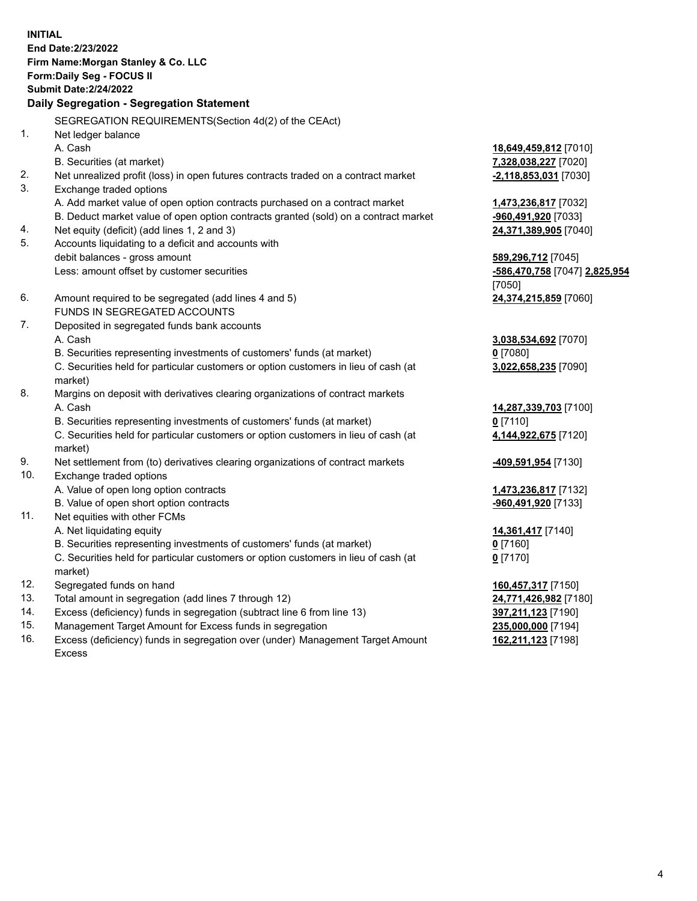**INITIAL End Date:2/23/2022 Firm Name:Morgan Stanley & Co. LLC Form:Daily Seg - FOCUS II Submit Date:2/24/2022 Daily Segregation - Segregation Statement** SEGREGATION REQUIREMENTS(Section 4d(2) of the CEAct) 1. Net ledger balance A. Cash **18,649,459,812** [7010] B. Securities (at market) **7,328,038,227** [7020] 2. Net unrealized profit (loss) in open futures contracts traded on a contract market **-2,118,853,031** [7030] 3. Exchange traded options A. Add market value of open option contracts purchased on a contract market **1,473,236,817** [7032] B. Deduct market value of open option contracts granted (sold) on a contract market **-960,491,920** [7033] 4. Net equity (deficit) (add lines 1, 2 and 3) **24,371,389,905** [7040] 5. Accounts liquidating to a deficit and accounts with debit balances - gross amount **589,296,712** [7045] Less: amount offset by customer securities **-586,470,758** [7047] **2,825,954** [7050] 6. Amount required to be segregated (add lines 4 and 5) **24,374,215,859** [7060] FUNDS IN SEGREGATED ACCOUNTS 7. Deposited in segregated funds bank accounts A. Cash **3,038,534,692** [7070] B. Securities representing investments of customers' funds (at market) **0** [7080] C. Securities held for particular customers or option customers in lieu of cash (at market) **3,022,658,235** [7090] 8. Margins on deposit with derivatives clearing organizations of contract markets A. Cash **14,287,339,703** [7100] B. Securities representing investments of customers' funds (at market) **0** [7110] C. Securities held for particular customers or option customers in lieu of cash (at market) **4,144,922,675** [7120] 9. Net settlement from (to) derivatives clearing organizations of contract markets **-409,591,954** [7130] 10. Exchange traded options A. Value of open long option contracts **1,473,236,817** [7132] B. Value of open short option contracts **-960,491,920** [7133] 11. Net equities with other FCMs A. Net liquidating equity **14,361,417** [7140] B. Securities representing investments of customers' funds (at market) **0** [7160] C. Securities held for particular customers or option customers in lieu of cash (at market) **0** [7170] 12. Segregated funds on hand **160,457,317** [7150] 13. Total amount in segregation (add lines 7 through 12) **24,771,426,982** [7180] 14. Excess (deficiency) funds in segregation (subtract line 6 from line 13) **397,211,123** [7190]

- 15. Management Target Amount for Excess funds in segregation **235,000,000** [7194]
- 16. Excess (deficiency) funds in segregation over (under) Management Target Amount Excess

**162,211,123** [7198]